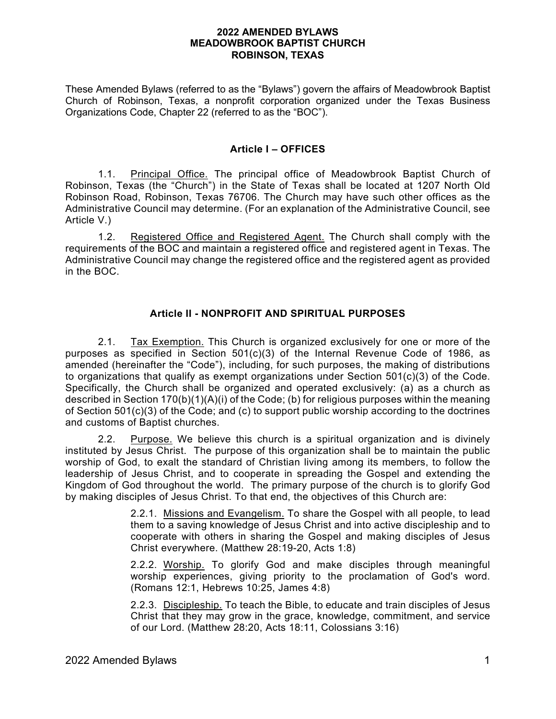#### **2022 AMENDED BYLAWS MEADOWBROOK BAPTIST CHURCH ROBINSON, TEXAS**

These Amended Bylaws (referred to as the "Bylaws") govern the affairs of Meadowbrook Baptist Church of Robinson, Texas, a nonprofit corporation organized under the Texas Business Organizations Code, Chapter 22 (referred to as the "BOC").

### **Article I – OFFICES**

1.1. Principal Office. The principal office of Meadowbrook Baptist Church of Robinson, Texas (the "Church") in the State of Texas shall be located at 1207 North Old Robinson Road, Robinson, Texas 76706. The Church may have such other offices as the Administrative Council may determine. (For an explanation of the Administrative Council, see Article V.)

1.2. Registered Office and Registered Agent. The Church shall comply with the requirements of the BOC and maintain a registered office and registered agent in Texas. The Administrative Council may change the registered office and the registered agent as provided in the BOC.

# **Article II - NONPROFIT AND SPIRITUAL PURPOSES**

2.1. Tax Exemption. This Church is organized exclusively for one or more of the purposes as specified in Section 501(c)(3) of the Internal Revenue Code of 1986, as amended (hereinafter the "Code"), including, for such purposes, the making of distributions to organizations that qualify as exempt organizations under Section 501(c)(3) of the Code. Specifically, the Church shall be organized and operated exclusively: (a) as a church as described in Section 170(b)(1)(A)(i) of the Code; (b) for religious purposes within the meaning of Section 501(c)(3) of the Code; and (c) to support public worship according to the doctrines and customs of Baptist churches.

2.2. Purpose. We believe this church is a spiritual organization and is divinely instituted by Jesus Christ. The purpose of this organization shall be to maintain the public worship of God, to exalt the standard of Christian living among its members, to follow the leadership of Jesus Christ, and to cooperate in spreading the Gospel and extending the Kingdom of God throughout the world. The primary purpose of the church is to glorify God by making disciples of Jesus Christ. To that end, the objectives of this Church are:

> 2.2.1. Missions and Evangelism. To share the Gospel with all people, to lead them to a saving knowledge of Jesus Christ and into active discipleship and to cooperate with others in sharing the Gospel and making disciples of Jesus Christ everywhere. (Matthew 28:19-20, Acts 1:8)

> 2.2.2. Worship. To glorify God and make disciples through meaningful worship experiences, giving priority to the proclamation of God's word. (Romans 12:1, Hebrews 10:25, James 4:8)

> 2.2.3. Discipleship. To teach the Bible, to educate and train disciples of Jesus Christ that they may grow in the grace, knowledge, commitment, and service of our Lord. (Matthew 28:20, Acts 18:11, Colossians 3:16)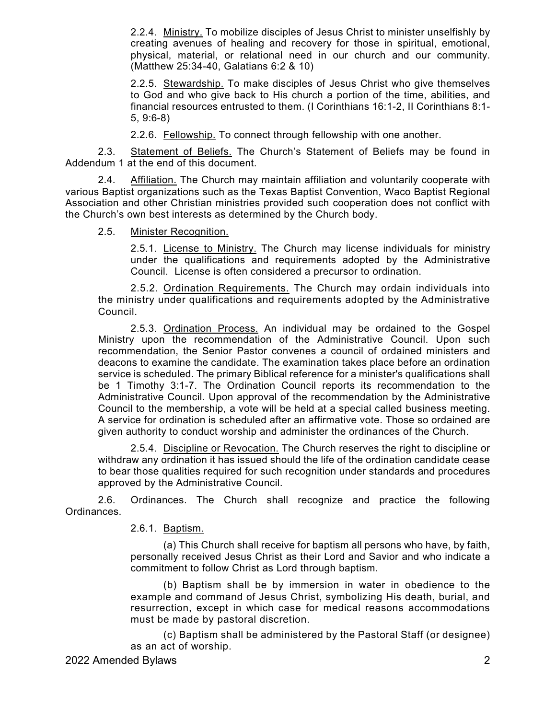2.2.4. Ministry. To mobilize disciples of Jesus Christ to minister unselfishly by creating avenues of healing and recovery for those in spiritual, emotional, physical, material, or relational need in our church and our community. (Matthew 25:34-40, Galatians 6:2 & 10)

2.2.5. Stewardship. To make disciples of Jesus Christ who give themselves to God and who give back to His church a portion of the time, abilities, and financial resources entrusted to them. (I Corinthians 16:1-2, II Corinthians 8:1- 5, 9:6-8)

2.2.6. Fellowship. To connect through fellowship with one another.

2.3. Statement of Beliefs. The Church's Statement of Beliefs may be found in Addendum 1 at the end of this document.

2.4. Affiliation. The Church may maintain affiliation and voluntarily cooperate with various Baptist organizations such as the Texas Baptist Convention, Waco Baptist Regional Association and other Christian ministries provided such cooperation does not conflict with the Church's own best interests as determined by the Church body.

2.5. Minister Recognition.

2.5.1. License to Ministry. The Church may license individuals for ministry under the qualifications and requirements adopted by the Administrative Council. License is often considered a precursor to ordination.

2.5.2. Ordination Requirements. The Church may ordain individuals into the ministry under qualifications and requirements adopted by the Administrative Council.

2.5.3. Ordination Process. An individual may be ordained to the Gospel Ministry upon the recommendation of the Administrative Council. Upon such recommendation, the Senior Pastor convenes a council of ordained ministers and deacons to examine the candidate. The examination takes place before an ordination service is scheduled. The primary Biblical reference for a minister's qualifications shall be 1 Timothy 3:1-7. The Ordination Council reports its recommendation to the Administrative Council. Upon approval of the recommendation by the Administrative Council to the membership, a vote will be held at a special called business meeting. A service for ordination is scheduled after an affirmative vote. Those so ordained are given authority to conduct worship and administer the ordinances of the Church.

2.5.4. Discipline or Revocation. The Church reserves the right to discipline or withdraw any ordination it has issued should the life of the ordination candidate cease to bear those qualities required for such recognition under standards and procedures approved by the Administrative Council.

2.6. Ordinances. The Church shall recognize and practice the following Ordinances.

2.6.1. Baptism.

(a) This Church shall receive for baptism all persons who have, by faith, personally received Jesus Christ as their Lord and Savior and who indicate a commitment to follow Christ as Lord through baptism.

(b) Baptism shall be by immersion in water in obedience to the example and command of Jesus Christ, symbolizing His death, burial, and resurrection, except in which case for medical reasons accommodations must be made by pastoral discretion.

(c) Baptism shall be administered by the Pastoral Staff (or designee) as an act of worship.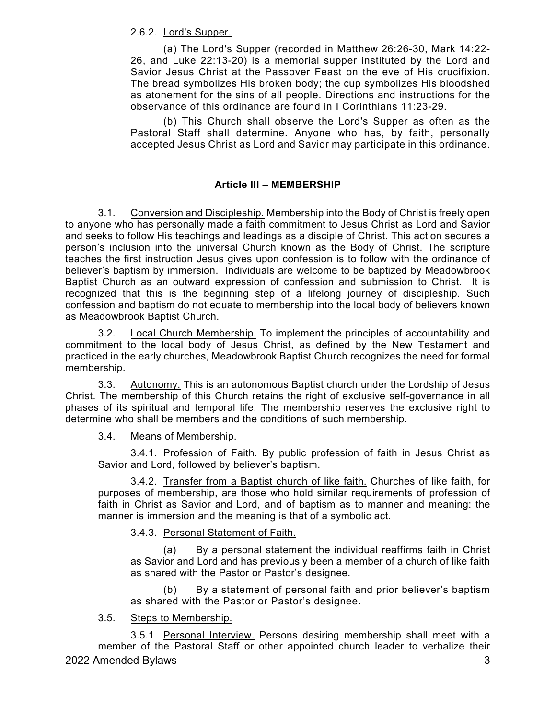2.6.2. Lord's Supper.

(a) The Lord's Supper (recorded in Matthew 26:26-30, Mark 14:22- 26, and Luke 22:13-20) is a memorial supper instituted by the Lord and Savior Jesus Christ at the Passover Feast on the eve of His crucifixion. The bread symbolizes His broken body; the cup symbolizes His bloodshed as atonement for the sins of all people. Directions and instructions for the observance of this ordinance are found in I Corinthians 11:23-29.

(b) This Church shall observe the Lord's Supper as often as the Pastoral Staff shall determine. Anyone who has, by faith, personally accepted Jesus Christ as Lord and Savior may participate in this ordinance.

# **Article III – MEMBERSHIP**

3.1. Conversion and Discipleship. Membership into the Body of Christ is freely open to anyone who has personally made a faith commitment to Jesus Christ as Lord and Savior and seeks to follow His teachings and leadings as a disciple of Christ. This action secures a person's inclusion into the universal Church known as the Body of Christ. The scripture teaches the first instruction Jesus gives upon confession is to follow with the ordinance of believer's baptism by immersion. Individuals are welcome to be baptized by Meadowbrook Baptist Church as an outward expression of confession and submission to Christ. It is recognized that this is the beginning step of a lifelong journey of discipleship. Such confession and baptism do not equate to membership into the local body of believers known as Meadowbrook Baptist Church.

3.2. Local Church Membership. To implement the principles of accountability and commitment to the local body of Jesus Christ, as defined by the New Testament and practiced in the early churches, Meadowbrook Baptist Church recognizes the need for formal membership.

3.3. Autonomy. This is an autonomous Baptist church under the Lordship of Jesus Christ. The membership of this Church retains the right of exclusive self-governance in all phases of its spiritual and temporal life. The membership reserves the exclusive right to determine who shall be members and the conditions of such membership.

3.4. Means of Membership.

3.4.1. Profession of Faith. By public profession of faith in Jesus Christ as Savior and Lord, followed by believer's baptism.

3.4.2. Transfer from a Baptist church of like faith. Churches of like faith, for purposes of membership, are those who hold similar requirements of profession of faith in Christ as Savior and Lord, and of baptism as to manner and meaning: the manner is immersion and the meaning is that of a symbolic act.

3.4.3. Personal Statement of Faith.

(a) By a personal statement the individual reaffirms faith in Christ as Savior and Lord and has previously been a member of a church of like faith as shared with the Pastor or Pastor's designee.

(b) By a statement of personal faith and prior believer's baptism as shared with the Pastor or Pastor's designee.

# 3.5. Steps to Membership.

2022 Amended Bylaws 3 3.5.1 Personal Interview. Persons desiring membership shall meet with a member of the Pastoral Staff or other appointed church leader to verbalize their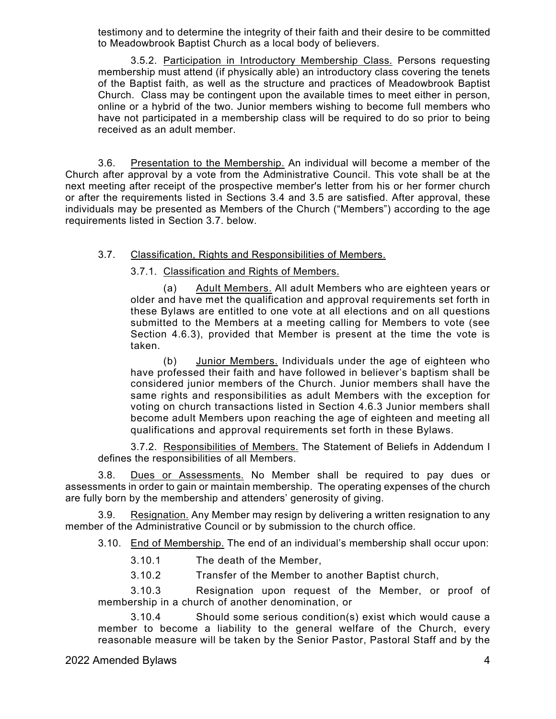testimony and to determine the integrity of their faith and their desire to be committed to Meadowbrook Baptist Church as a local body of believers.

3.5.2. Participation in Introductory Membership Class. Persons requesting membership must attend (if physically able) an introductory class covering the tenets of the Baptist faith, as well as the structure and practices of Meadowbrook Baptist Church. Class may be contingent upon the available times to meet either in person, online or a hybrid of the two. Junior members wishing to become full members who have not participated in a membership class will be required to do so prior to being received as an adult member.

3.6. Presentation to the Membership. An individual will become a member of the Church after approval by a vote from the Administrative Council. This vote shall be at the next meeting after receipt of the prospective member's letter from his or her former church or after the requirements listed in Sections 3.4 and 3.5 are satisfied. After approval, these individuals may be presented as Members of the Church ("Members") according to the age requirements listed in Section 3.7. below.

# 3.7. Classification, Rights and Responsibilities of Members.

3.7.1. Classification and Rights of Members.

(a) Adult Members. All adult Members who are eighteen years or older and have met the qualification and approval requirements set forth in these Bylaws are entitled to one vote at all elections and on all questions submitted to the Members at a meeting calling for Members to vote (see Section 4.6.3), provided that Member is present at the time the vote is taken.

(b) Junior Members. Individuals under the age of eighteen who have professed their faith and have followed in believer's baptism shall be considered junior members of the Church. Junior members shall have the same rights and responsibilities as adult Members with the exception for voting on church transactions listed in Section 4.6.3 Junior members shall become adult Members upon reaching the age of eighteen and meeting all qualifications and approval requirements set forth in these Bylaws.

3.7.2. Responsibilities of Members. The Statement of Beliefs in Addendum I defines the responsibilities of all Members.

3.8. Dues or Assessments. No Member shall be required to pay dues or assessments in order to gain or maintain membership. The operating expenses of the church are fully born by the membership and attenders' generosity of giving.

3.9. Resignation. Any Member may resign by delivering a written resignation to any member of the Administrative Council or by submission to the church office.

3.10. End of Membership. The end of an individual's membership shall occur upon:

3.10.1 The death of the Member,

3.10.2 Transfer of the Member to another Baptist church,

3.10.3 Resignation upon request of the Member, or proof of membership in a church of another denomination, or

3.10.4 Should some serious condition(s) exist which would cause a member to become a liability to the general welfare of the Church, every reasonable measure will be taken by the Senior Pastor, Pastoral Staff and by the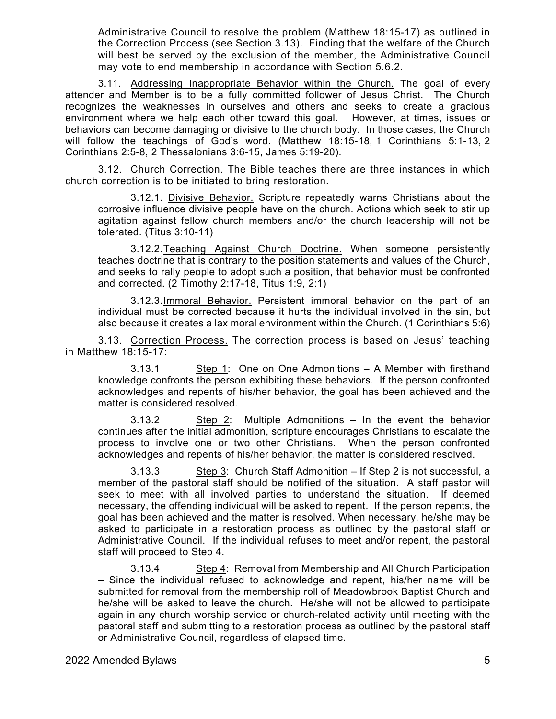Administrative Council to resolve the problem (Matthew 18:15-17) as outlined in the Correction Process (see Section 3.13). Finding that the welfare of the Church will best be served by the exclusion of the member, the Administrative Council may vote to end membership in accordance with Section 5.6.2.

3.11. Addressing Inappropriate Behavior within the Church. The goal of every attender and Member is to be a fully committed follower of Jesus Christ. The Church recognizes the weaknesses in ourselves and others and seeks to create a gracious environment where we help each other toward this goal. However, at times, issues or behaviors can become damaging or divisive to the church body. In those cases, the Church will follow the teachings of God's word. (Matthew 18:15-18, 1 Corinthians 5:1-13, 2 Corinthians 2:5-8, 2 Thessalonians 3:6-15, James 5:19-20).

3.12. Church Correction. The Bible teaches there are three instances in which church correction is to be initiated to bring restoration.

3.12.1. Divisive Behavior. Scripture repeatedly warns Christians about the corrosive influence divisive people have on the church. Actions which seek to stir up agitation against fellow church members and/or the church leadership will not be tolerated. (Titus 3:10-11)

3.12.2.Teaching Against Church Doctrine. When someone persistently teaches doctrine that is contrary to the position statements and values of the Church, and seeks to rally people to adopt such a position, that behavior must be confronted and corrected. (2 Timothy 2:17-18, Titus 1:9, 2:1)

3.12.3.Immoral Behavior. Persistent immoral behavior on the part of an individual must be corrected because it hurts the individual involved in the sin, but also because it creates a lax moral environment within the Church. (1 Corinthians 5:6)

3.13. Correction Process. The correction process is based on Jesus' teaching in Matthew 18:15-17:

3.13.1  $\qquad \qquad$  Step 1: One on One Admonitions – A Member with firsthand knowledge confronts the person exhibiting these behaviors. If the person confronted acknowledges and repents of his/her behavior, the goal has been achieved and the matter is considered resolved.

3.13.2 Step 2: Multiple Admonitions – In the event the behavior continues after the initial admonition, scripture encourages Christians to escalate the process to involve one or two other Christians. When the person confronted acknowledges and repents of his/her behavior, the matter is considered resolved.

3.13.3 Step 3: Church Staff Admonition – If Step 2 is not successful, a member of the pastoral staff should be notified of the situation. A staff pastor will seek to meet with all involved parties to understand the situation. If deemed necessary, the offending individual will be asked to repent. If the person repents, the goal has been achieved and the matter is resolved. When necessary, he/she may be asked to participate in a restoration process as outlined by the pastoral staff or Administrative Council. If the individual refuses to meet and/or repent, the pastoral staff will proceed to Step 4.

3.13.4 Step 4: Removal from Membership and All Church Participation – Since the individual refused to acknowledge and repent, his/her name will be submitted for removal from the membership roll of Meadowbrook Baptist Church and he/she will be asked to leave the church. He/she will not be allowed to participate again in any church worship service or church-related activity until meeting with the pastoral staff and submitting to a restoration process as outlined by the pastoral staff or Administrative Council, regardless of elapsed time.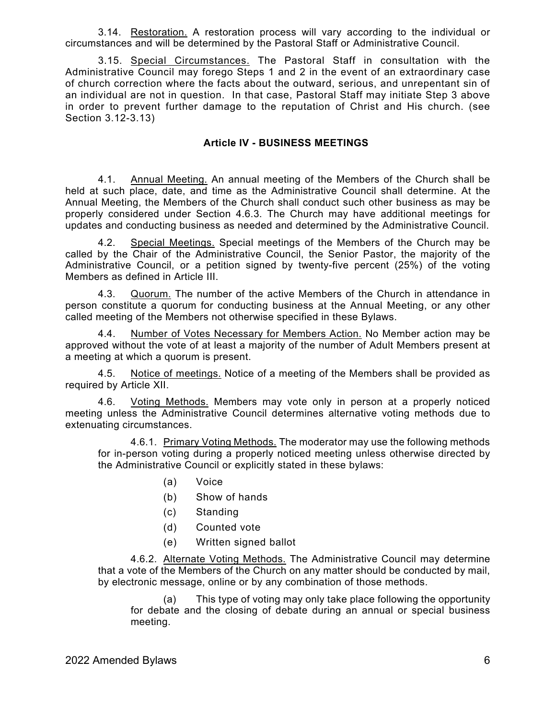3.14. Restoration. A restoration process will vary according to the individual or circumstances and will be determined by the Pastoral Staff or Administrative Council.

3.15. Special Circumstances. The Pastoral Staff in consultation with the Administrative Council may forego Steps 1 and 2 in the event of an extraordinary case of church correction where the facts about the outward, serious, and unrepentant sin of an individual are not in question. In that case, Pastoral Staff may initiate Step 3 above in order to prevent further damage to the reputation of Christ and His church. (see Section 3.12-3.13)

### **Article IV - BUSINESS MEETINGS**

4.1. Annual Meeting. An annual meeting of the Members of the Church shall be held at such place, date, and time as the Administrative Council shall determine. At the Annual Meeting, the Members of the Church shall conduct such other business as may be properly considered under Section 4.6.3. The Church may have additional meetings for updates and conducting business as needed and determined by the Administrative Council.

4.2. Special Meetings. Special meetings of the Members of the Church may be called by the Chair of the Administrative Council, the Senior Pastor, the majority of the Administrative Council, or a petition signed by twenty-five percent (25%) of the voting Members as defined in Article III.

4.3. Quorum. The number of the active Members of the Church in attendance in person constitute a quorum for conducting business at the Annual Meeting, or any other called meeting of the Members not otherwise specified in these Bylaws.

4.4. Number of Votes Necessary for Members Action. No Member action may be approved without the vote of at least a majority of the number of Adult Members present at a meeting at which a quorum is present.

4.5. Notice of meetings. Notice of a meeting of the Members shall be provided as required by Article XII.

4.6. Voting Methods. Members may vote only in person at a properly noticed meeting unless the Administrative Council determines alternative voting methods due to extenuating circumstances.

4.6.1. Primary Voting Methods. The moderator may use the following methods for in-person voting during a properly noticed meeting unless otherwise directed by the Administrative Council or explicitly stated in these bylaws:

- (a) Voice
- (b) Show of hands
- (c) Standing
- (d) Counted vote
- (e) Written signed ballot

4.6.2. Alternate Voting Methods. The Administrative Council may determine that a vote of the Members of the Church on any matter should be conducted by mail, by electronic message, online or by any combination of those methods.

(a) This type of voting may only take place following the opportunity for debate and the closing of debate during an annual or special business meeting.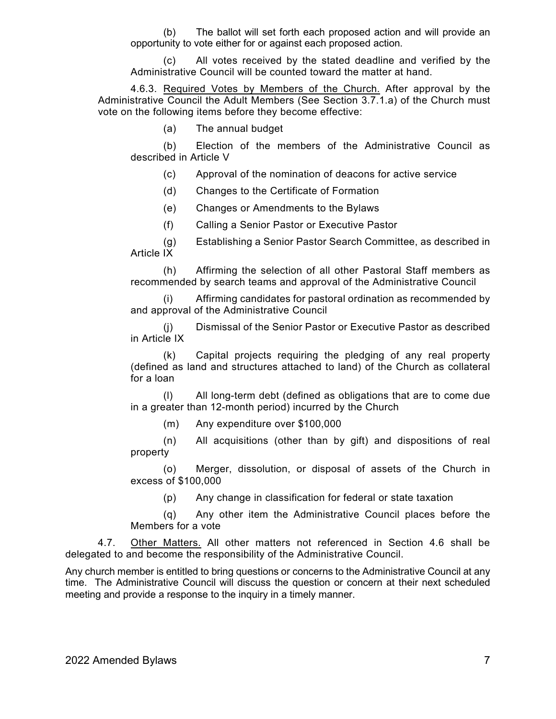(b) The ballot will set forth each proposed action and will provide an opportunity to vote either for or against each proposed action.

(c) All votes received by the stated deadline and verified by the Administrative Council will be counted toward the matter at hand.

4.6.3. Required Votes by Members of the Church. After approval by the Administrative Council the Adult Members (See Section 3.7.1.a) of the Church must vote on the following items before they become effective:

(a) The annual budget

(b) Election of the members of the Administrative Council as described in Article V

(c) Approval of the nomination of deacons for active service

(d) Changes to the Certificate of Formation

(e) Changes or Amendments to the Bylaws

(f) Calling a Senior Pastor or Executive Pastor

(g) Establishing a Senior Pastor Search Committee, as described in Article IX

(h) Affirming the selection of all other Pastoral Staff members as recommended by search teams and approval of the Administrative Council

Affirming candidates for pastoral ordination as recommended by and approval of the Administrative Council

(j) Dismissal of the Senior Pastor or Executive Pastor as described in Article IX

(k) Capital projects requiring the pledging of any real property (defined as land and structures attached to land) of the Church as collateral for a loan

(l) All long-term debt (defined as obligations that are to come due in a greater than 12-month period) incurred by the Church

(m) Any expenditure over \$100,000

(n) All acquisitions (other than by gift) and dispositions of real property

(o) Merger, dissolution, or disposal of assets of the Church in excess of \$100,000

(p) Any change in classification for federal or state taxation

(q) Any other item the Administrative Council places before the Members for a vote

4.7. Other Matters. All other matters not referenced in Section 4.6 shall be delegated to and become the responsibility of the Administrative Council.

Any church member is entitled to bring questions or concerns to the Administrative Council at any time. The Administrative Council will discuss the question or concern at their next scheduled meeting and provide a response to the inquiry in a timely manner.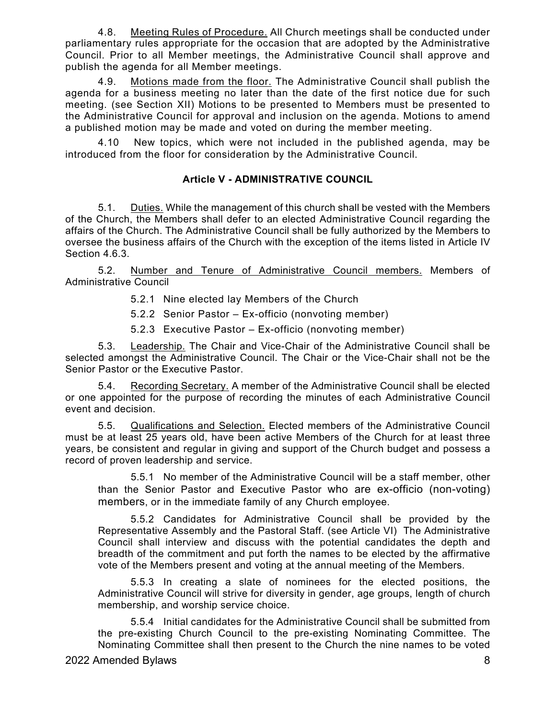4.8. Meeting Rules of Procedure. All Church meetings shall be conducted under parliamentary rules appropriate for the occasion that are adopted by the Administrative Council. Prior to all Member meetings, the Administrative Council shall approve and publish the agenda for all Member meetings.

4.9. Motions made from the floor. The Administrative Council shall publish the agenda for a business meeting no later than the date of the first notice due for such meeting. (see Section XII) Motions to be presented to Members must be presented to the Administrative Council for approval and inclusion on the agenda. Motions to amend a published motion may be made and voted on during the member meeting.

4.10 New topics, which were not included in the published agenda, may be introduced from the floor for consideration by the Administrative Council.

# **Article V - ADMINISTRATIVE COUNCIL**

5.1. Duties. While the management of this church shall be vested with the Members of the Church, the Members shall defer to an elected Administrative Council regarding the affairs of the Church. The Administrative Council shall be fully authorized by the Members to oversee the business affairs of the Church with the exception of the items listed in Article IV Section 4.6.3.

5.2. Number and Tenure of Administrative Council members. Members of Administrative Council

5.2.1 Nine elected lay Members of the Church

5.2.2 Senior Pastor – Ex-officio (nonvoting member)

5.2.3 Executive Pastor – Ex-officio (nonvoting member)

5.3. Leadership. The Chair and Vice-Chair of the Administrative Council shall be selected amongst the Administrative Council. The Chair or the Vice-Chair shall not be the Senior Pastor or the Executive Pastor.

5.4. Recording Secretary. A member of the Administrative Council shall be elected or one appointed for the purpose of recording the minutes of each Administrative Council event and decision.

5.5. Qualifications and Selection. Elected members of the Administrative Council must be at least 25 years old, have been active Members of the Church for at least three years, be consistent and regular in giving and support of the Church budget and possess a record of proven leadership and service.

5.5.1 No member of the Administrative Council will be a staff member, other than the Senior Pastor and Executive Pastor who are ex-officio (non-voting) members, or in the immediate family of any Church employee.

5.5.2 Candidates for Administrative Council shall be provided by the Representative Assembly and the Pastoral Staff. (see Article VI) The Administrative Council shall interview and discuss with the potential candidates the depth and breadth of the commitment and put forth the names to be elected by the affirmative vote of the Members present and voting at the annual meeting of the Members.

5.5.3 In creating a slate of nominees for the elected positions, the Administrative Council will strive for diversity in gender, age groups, length of church membership, and worship service choice.

5.5.4 Initial candidates for the Administrative Council shall be submitted from the pre-existing Church Council to the pre-existing Nominating Committee. The Nominating Committee shall then present to the Church the nine names to be voted

2022 Amended Bylaws 8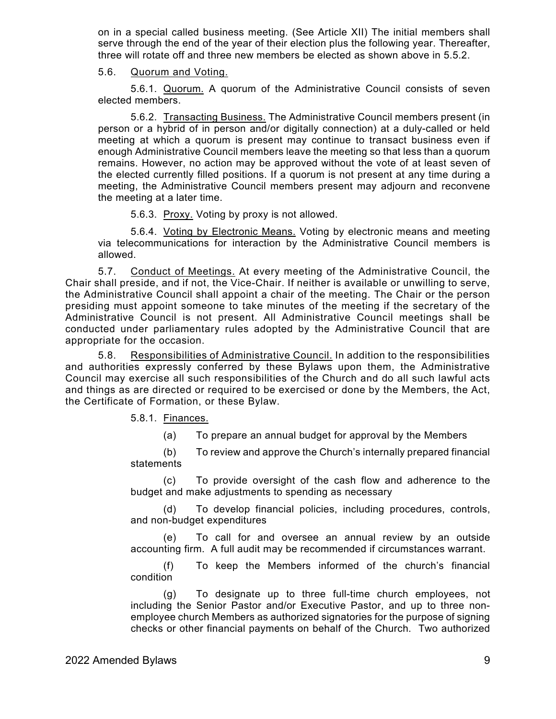on in a special called business meeting. (See Article XII) The initial members shall serve through the end of the year of their election plus the following year. Thereafter, three will rotate off and three new members be elected as shown above in 5.5.2.

#### 5.6. Quorum and Voting.

5.6.1. Quorum. A quorum of the Administrative Council consists of seven elected members.

5.6.2. Transacting Business. The Administrative Council members present (in person or a hybrid of in person and/or digitally connection) at a duly-called or held meeting at which a quorum is present may continue to transact business even if enough Administrative Council members leave the meeting so that less than a quorum remains. However, no action may be approved without the vote of at least seven of the elected currently filled positions. If a quorum is not present at any time during a meeting, the Administrative Council members present may adjourn and reconvene the meeting at a later time.

5.6.3. Proxy. Voting by proxy is not allowed.

5.6.4. Voting by Electronic Means. Voting by electronic means and meeting via telecommunications for interaction by the Administrative Council members is allowed.

5.7. Conduct of Meetings. At every meeting of the Administrative Council, the Chair shall preside, and if not, the Vice-Chair. If neither is available or unwilling to serve, the Administrative Council shall appoint a chair of the meeting. The Chair or the person presiding must appoint someone to take minutes of the meeting if the secretary of the Administrative Council is not present. All Administrative Council meetings shall be conducted under parliamentary rules adopted by the Administrative Council that are appropriate for the occasion.

5.8. Responsibilities of Administrative Council. In addition to the responsibilities and authorities expressly conferred by these Bylaws upon them, the Administrative Council may exercise all such responsibilities of the Church and do all such lawful acts and things as are directed or required to be exercised or done by the Members, the Act, the Certificate of Formation, or these Bylaw.

5.8.1. Finances.

(a) To prepare an annual budget for approval by the Members

(b) To review and approve the Church's internally prepared financial statements

(c) To provide oversight of the cash flow and adherence to the budget and make adjustments to spending as necessary

(d) To develop financial policies, including procedures, controls, and non-budget expenditures

(e) To call for and oversee an annual review by an outside accounting firm. A full audit may be recommended if circumstances warrant.

(f) To keep the Members informed of the church's financial condition

(g) To designate up to three full-time church employees, not including the Senior Pastor and/or Executive Pastor, and up to three nonemployee church Members as authorized signatories for the purpose of signing checks or other financial payments on behalf of the Church. Two authorized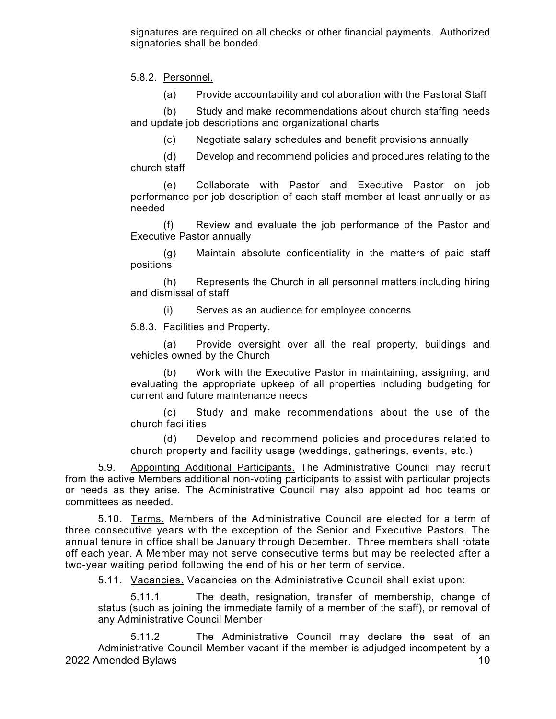signatures are required on all checks or other financial payments. Authorized signatories shall be bonded.

5.8.2. Personnel.

(a) Provide accountability and collaboration with the Pastoral Staff

(b) Study and make recommendations about church staffing needs and update job descriptions and organizational charts

(c) Negotiate salary schedules and benefit provisions annually

(d) Develop and recommend policies and procedures relating to the church staff

(e) Collaborate with Pastor and Executive Pastor on job performance per job description of each staff member at least annually or as needed

(f) Review and evaluate the job performance of the Pastor and Executive Pastor annually

(g) Maintain absolute confidentiality in the matters of paid staff positions

(h) Represents the Church in all personnel matters including hiring and dismissal of staff

(i) Serves as an audience for employee concerns

5.8.3. Facilities and Property.

(a) Provide oversight over all the real property, buildings and vehicles owned by the Church

(b) Work with the Executive Pastor in maintaining, assigning, and evaluating the appropriate upkeep of all properties including budgeting for current and future maintenance needs

(c) Study and make recommendations about the use of the church facilities

(d) Develop and recommend policies and procedures related to church property and facility usage (weddings, gatherings, events, etc.)

5.9. Appointing Additional Participants. The Administrative Council may recruit from the active Members additional non-voting participants to assist with particular projects or needs as they arise. The Administrative Council may also appoint ad hoc teams or committees as needed.

5.10. Terms. Members of the Administrative Council are elected for a term of three consecutive years with the exception of the Senior and Executive Pastors. The annual tenure in office shall be January through December. Three members shall rotate off each year. A Member may not serve consecutive terms but may be reelected after a two-year waiting period following the end of his or her term of service.

5.11. Vacancies. Vacancies on the Administrative Council shall exist upon:

5.11.1 The death, resignation, transfer of membership, change of status (such as joining the immediate family of a member of the staff), or removal of any Administrative Council Member

2022 Amended Bylaws 2022 Amended Bylaws 2022 Amended Bylaws 5.11.2 The Administrative Council may declare the seat of an Administrative Council Member vacant if the member is adjudged incompetent by a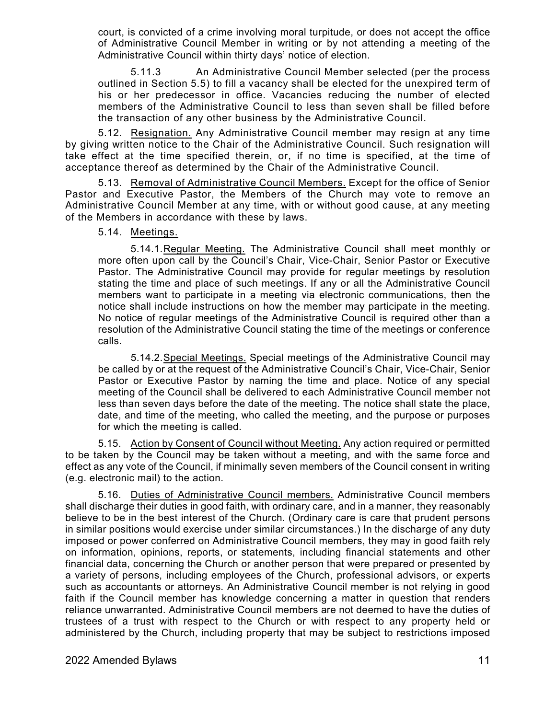court, is convicted of a crime involving moral turpitude, or does not accept the office of Administrative Council Member in writing or by not attending a meeting of the Administrative Council within thirty days' notice of election.

5.11.3 An Administrative Council Member selected (per the process outlined in Section 5.5) to fill a vacancy shall be elected for the unexpired term of his or her predecessor in office. Vacancies reducing the number of elected members of the Administrative Council to less than seven shall be filled before the transaction of any other business by the Administrative Council.

5.12. Resignation. Any Administrative Council member may resign at any time by giving written notice to the Chair of the Administrative Council. Such resignation will take effect at the time specified therein, or, if no time is specified, at the time of acceptance thereof as determined by the Chair of the Administrative Council.

5.13. Removal of Administrative Council Members. Except for the office of Senior Pastor and Executive Pastor, the Members of the Church may vote to remove an Administrative Council Member at any time, with or without good cause, at any meeting of the Members in accordance with these by laws.

### 5.14. Meetings.

5.14.1.Regular Meeting. The Administrative Council shall meet monthly or more often upon call by the Council's Chair, Vice-Chair, Senior Pastor or Executive Pastor. The Administrative Council may provide for regular meetings by resolution stating the time and place of such meetings. If any or all the Administrative Council members want to participate in a meeting via electronic communications, then the notice shall include instructions on how the member may participate in the meeting. No notice of regular meetings of the Administrative Council is required other than a resolution of the Administrative Council stating the time of the meetings or conference calls.

5.14.2.Special Meetings. Special meetings of the Administrative Council may be called by or at the request of the Administrative Council's Chair, Vice-Chair, Senior Pastor or Executive Pastor by naming the time and place. Notice of any special meeting of the Council shall be delivered to each Administrative Council member not less than seven days before the date of the meeting. The notice shall state the place, date, and time of the meeting, who called the meeting, and the purpose or purposes for which the meeting is called.

5.15. Action by Consent of Council without Meeting. Any action required or permitted to be taken by the Council may be taken without a meeting, and with the same force and effect as any vote of the Council, if minimally seven members of the Council consent in writing (e.g. electronic mail) to the action.

5.16. Duties of Administrative Council members. Administrative Council members shall discharge their duties in good faith, with ordinary care, and in a manner, they reasonably believe to be in the best interest of the Church. (Ordinary care is care that prudent persons in similar positions would exercise under similar circumstances.) In the discharge of any duty imposed or power conferred on Administrative Council members, they may in good faith rely on information, opinions, reports, or statements, including financial statements and other financial data, concerning the Church or another person that were prepared or presented by a variety of persons, including employees of the Church, professional advisors, or experts such as accountants or attorneys. An Administrative Council member is not relying in good faith if the Council member has knowledge concerning a matter in question that renders reliance unwarranted. Administrative Council members are not deemed to have the duties of trustees of a trust with respect to the Church or with respect to any property held or administered by the Church, including property that may be subject to restrictions imposed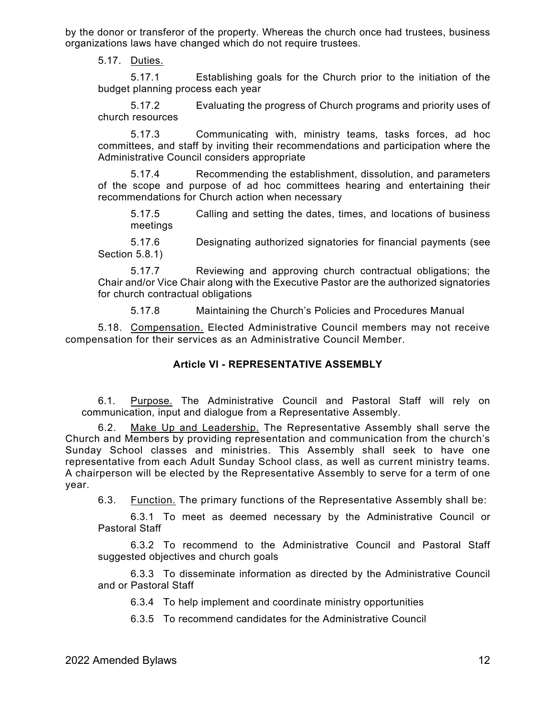by the donor or transferor of the property. Whereas the church once had trustees, business organizations laws have changed which do not require trustees.

5.17. Duties.

5.17.1 Establishing goals for the Church prior to the initiation of the budget planning process each year

5.17.2 Evaluating the progress of Church programs and priority uses of church resources

5.17.3 Communicating with, ministry teams, tasks forces, ad hoc committees, and staff by inviting their recommendations and participation where the Administrative Council considers appropriate

5.17.4 Recommending the establishment, dissolution, and parameters of the scope and purpose of ad hoc committees hearing and entertaining their recommendations for Church action when necessary

5.17.5 Calling and setting the dates, times, and locations of business meetings

5.17.6 Designating authorized signatories for financial payments (see Section 5.8.1)

5.17.7 Reviewing and approving church contractual obligations; the Chair and/or Vice Chair along with the Executive Pastor are the authorized signatories for church contractual obligations

5.17.8 Maintaining the Church's Policies and Procedures Manual

5.18. Compensation. Elected Administrative Council members may not receive compensation for their services as an Administrative Council Member.

### **Article VI - REPRESENTATIVE ASSEMBLY**

6.1. Purpose. The Administrative Council and Pastoral Staff will rely on communication, input and dialogue from a Representative Assembly.

6.2. Make Up and Leadership. The Representative Assembly shall serve the Church and Members by providing representation and communication from the church's Sunday School classes and ministries. This Assembly shall seek to have one representative from each Adult Sunday School class, as well as current ministry teams. A chairperson will be elected by the Representative Assembly to serve for a term of one year.

6.3. Function. The primary functions of the Representative Assembly shall be:

6.3.1 To meet as deemed necessary by the Administrative Council or Pastoral Staff

6.3.2 To recommend to the Administrative Council and Pastoral Staff suggested objectives and church goals

6.3.3 To disseminate information as directed by the Administrative Council and or Pastoral Staff

6.3.4 To help implement and coordinate ministry opportunities

6.3.5 To recommend candidates for the Administrative Council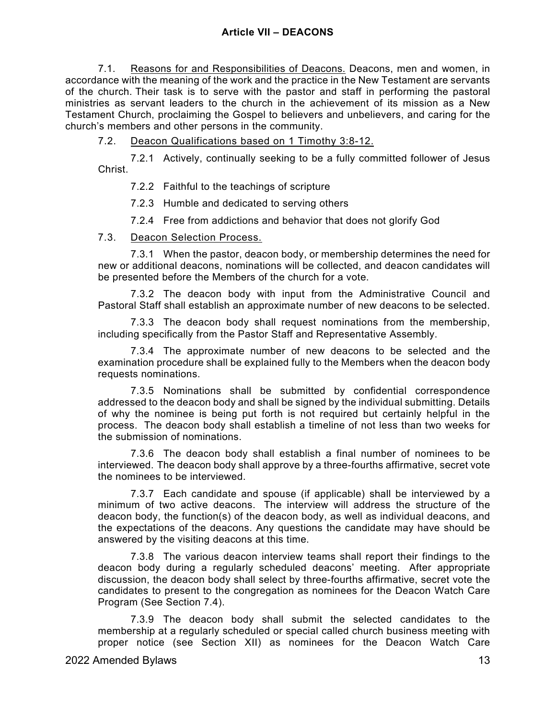7.1. Reasons for and Responsibilities of Deacons. Deacons, men and women, in accordance with the meaning of the work and the practice in the New Testament are servants of the church. Their task is to serve with the pastor and staff in performing the pastoral ministries as servant leaders to the church in the achievement of its mission as a New Testament Church, proclaiming the Gospel to believers and unbelievers, and caring for the church's members and other persons in the community.

7.2. Deacon Qualifications based on 1 Timothy 3:8-12.

7.2.1 Actively, continually seeking to be a fully committed follower of Jesus Christ.

7.2.2 Faithful to the teachings of scripture

7.2.3 Humble and dedicated to serving others

7.2.4 Free from addictions and behavior that does not glorify God

### 7.3. Deacon Selection Process.

7.3.1 When the pastor, deacon body, or membership determines the need for new or additional deacons, nominations will be collected, and deacon candidates will be presented before the Members of the church for a vote.

7.3.2 The deacon body with input from the Administrative Council and Pastoral Staff shall establish an approximate number of new deacons to be selected.

7.3.3 The deacon body shall request nominations from the membership, including specifically from the Pastor Staff and Representative Assembly.

7.3.4 The approximate number of new deacons to be selected and the examination procedure shall be explained fully to the Members when the deacon body requests nominations.

7.3.5 Nominations shall be submitted by confidential correspondence addressed to the deacon body and shall be signed by the individual submitting. Details of why the nominee is being put forth is not required but certainly helpful in the process. The deacon body shall establish a timeline of not less than two weeks for the submission of nominations.

7.3.6 The deacon body shall establish a final number of nominees to be interviewed. The deacon body shall approve by a three-fourths affirmative, secret vote the nominees to be interviewed.

7.3.7 Each candidate and spouse (if applicable) shall be interviewed by a minimum of two active deacons. The interview will address the structure of the deacon body, the function(s) of the deacon body, as well as individual deacons, and the expectations of the deacons. Any questions the candidate may have should be answered by the visiting deacons at this time.

7.3.8 The various deacon interview teams shall report their findings to the deacon body during a regularly scheduled deacons' meeting. After appropriate discussion, the deacon body shall select by three-fourths affirmative, secret vote the candidates to present to the congregation as nominees for the Deacon Watch Care Program (See Section 7.4).

7.3.9 The deacon body shall submit the selected candidates to the membership at a regularly scheduled or special called church business meeting with proper notice (see Section XII) as nominees for the Deacon Watch Care

2022 Amended Bylaws 13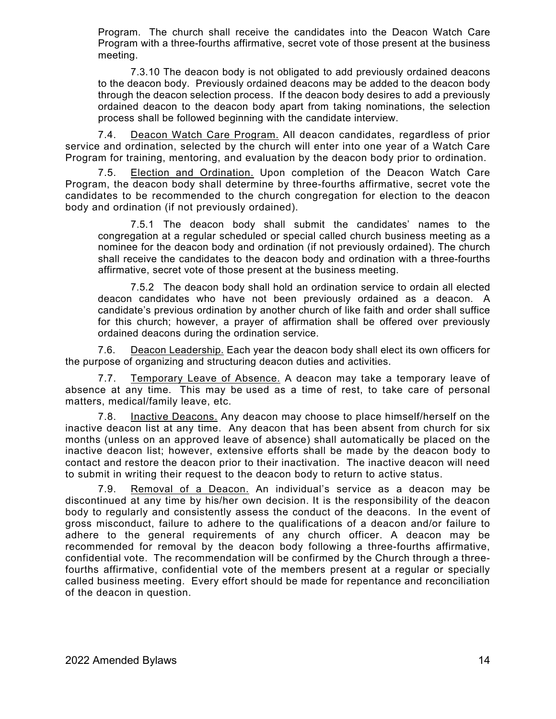Program. The church shall receive the candidates into the Deacon Watch Care Program with a three-fourths affirmative, secret vote of those present at the business meeting.

7.3.10 The deacon body is not obligated to add previously ordained deacons to the deacon body. Previously ordained deacons may be added to the deacon body through the deacon selection process. If the deacon body desires to add a previously ordained deacon to the deacon body apart from taking nominations, the selection process shall be followed beginning with the candidate interview.

7.4. Deacon Watch Care Program. All deacon candidates, regardless of prior service and ordination, selected by the church will enter into one year of a Watch Care Program for training, mentoring, and evaluation by the deacon body prior to ordination.

7.5. Election and Ordination. Upon completion of the Deacon Watch Care Program, the deacon body shall determine by three-fourths affirmative, secret vote the candidates to be recommended to the church congregation for election to the deacon body and ordination (if not previously ordained).

7.5.1 The deacon body shall submit the candidates' names to the congregation at a regular scheduled or special called church business meeting as a nominee for the deacon body and ordination (if not previously ordained). The church shall receive the candidates to the deacon body and ordination with a three-fourths affirmative, secret vote of those present at the business meeting.

7.5.2 The deacon body shall hold an ordination service to ordain all elected deacon candidates who have not been previously ordained as a deacon. A candidate's previous ordination by another church of like faith and order shall suffice for this church; however, a prayer of affirmation shall be offered over previously ordained deacons during the ordination service.

7.6. Deacon Leadership. Each year the deacon body shall elect its own officers for the purpose of organizing and structuring deacon duties and activities.

7.7. Temporary Leave of Absence. A deacon may take a temporary leave of absence at any time. This may be used as a time of rest, to take care of personal matters, medical/family leave, etc.

7.8. Inactive Deacons. Any deacon may choose to place himself/herself on the inactive deacon list at any time. Any deacon that has been absent from church for six months (unless on an approved leave of absence) shall automatically be placed on the inactive deacon list; however, extensive efforts shall be made by the deacon body to contact and restore the deacon prior to their inactivation. The inactive deacon will need to submit in writing their request to the deacon body to return to active status.

7.9. Removal of a Deacon. An individual's service as a deacon may be discontinued at any time by his/her own decision. It is the responsibility of the deacon body to regularly and consistently assess the conduct of the deacons. In the event of gross misconduct, failure to adhere to the qualifications of a deacon and/or failure to adhere to the general requirements of any church officer. A deacon may be recommended for removal by the deacon body following a three-fourths affirmative, confidential vote. The recommendation will be confirmed by the Church through a threefourths affirmative, confidential vote of the members present at a regular or specially called business meeting. Every effort should be made for repentance and reconciliation of the deacon in question.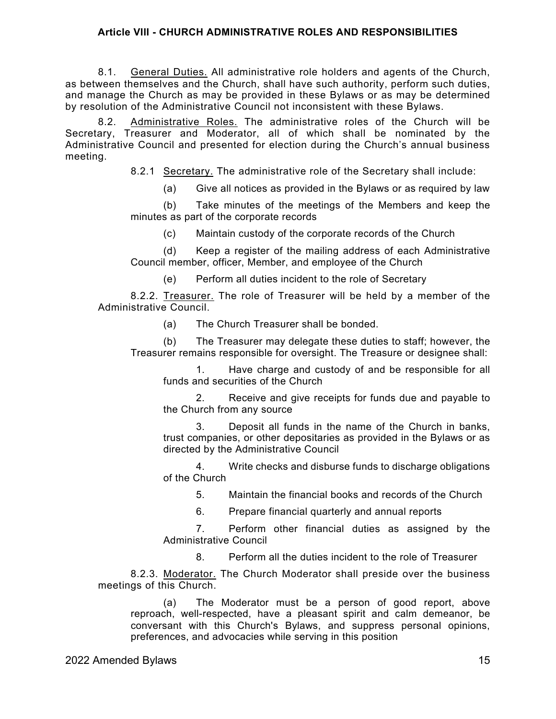# **Article VIII - CHURCH ADMINISTRATIVE ROLES AND RESPONSIBILITIES**

8.1. General Duties. All administrative role holders and agents of the Church, as between themselves and the Church, shall have such authority, perform such duties, and manage the Church as may be provided in these Bylaws or as may be determined by resolution of the Administrative Council not inconsistent with these Bylaws.

8.2. Administrative Roles. The administrative roles of the Church will be Secretary, Treasurer and Moderator, all of which shall be nominated by the Administrative Council and presented for election during the Church's annual business meeting.

8.2.1 Secretary. The administrative role of the Secretary shall include:

(a) Give all notices as provided in the Bylaws or as required by law

(b) Take minutes of the meetings of the Members and keep the minutes as part of the corporate records

(c) Maintain custody of the corporate records of the Church

(d) Keep a register of the mailing address of each Administrative Council member, officer, Member, and employee of the Church

(e) Perform all duties incident to the role of Secretary

8.2.2. Treasurer. The role of Treasurer will be held by a member of the Administrative Council.

(a) The Church Treasurer shall be bonded.

(b) The Treasurer may delegate these duties to staff; however, the Treasurer remains responsible for oversight. The Treasure or designee shall:

1. Have charge and custody of and be responsible for all funds and securities of the Church

2. Receive and give receipts for funds due and payable to the Church from any source

3. Deposit all funds in the name of the Church in banks, trust companies, or other depositaries as provided in the Bylaws or as directed by the Administrative Council

4. Write checks and disburse funds to discharge obligations of the Church

5. Maintain the financial books and records of the Church

6. Prepare financial quarterly and annual reports

7. Perform other financial duties as assigned by the Administrative Council

8. Perform all the duties incident to the role of Treasurer

8.2.3. Moderator. The Church Moderator shall preside over the business meetings of this Church.

(a) The Moderator must be a person of good report, above reproach, well-respected, have a pleasant spirit and calm demeanor, be conversant with this Church's Bylaws, and suppress personal opinions, preferences, and advocacies while serving in this position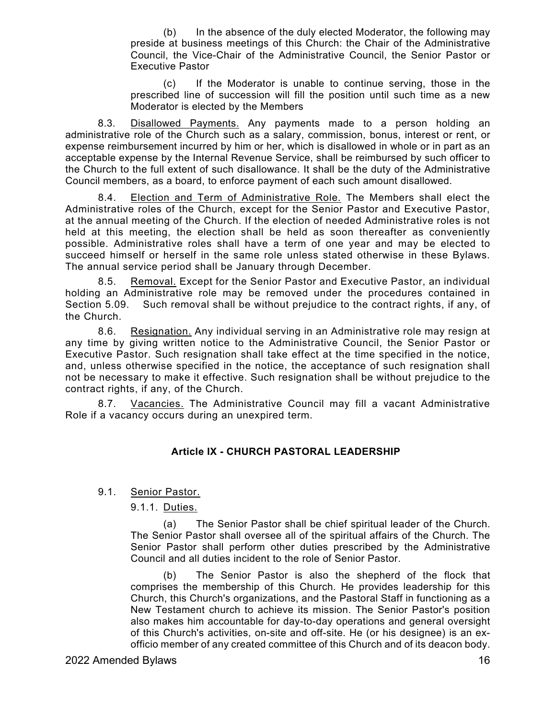(b) In the absence of the duly elected Moderator, the following may preside at business meetings of this Church: the Chair of the Administrative Council, the Vice-Chair of the Administrative Council, the Senior Pastor or Executive Pastor

(c) If the Moderator is unable to continue serving, those in the prescribed line of succession will fill the position until such time as a new Moderator is elected by the Members

8.3. Disallowed Payments. Any payments made to a person holding an administrative role of the Church such as a salary, commission, bonus, interest or rent, or expense reimbursement incurred by him or her, which is disallowed in whole or in part as an acceptable expense by the Internal Revenue Service, shall be reimbursed by such officer to the Church to the full extent of such disallowance. It shall be the duty of the Administrative Council members, as a board, to enforce payment of each such amount disallowed.

8.4. Election and Term of Administrative Role. The Members shall elect the Administrative roles of the Church, except for the Senior Pastor and Executive Pastor, at the annual meeting of the Church. If the election of needed Administrative roles is not held at this meeting, the election shall be held as soon thereafter as conveniently possible. Administrative roles shall have a term of one year and may be elected to succeed himself or herself in the same role unless stated otherwise in these Bylaws. The annual service period shall be January through December.

8.5. Removal. Except for the Senior Pastor and Executive Pastor, an individual holding an Administrative role may be removed under the procedures contained in<br>Section 5.09. Such removal shall be without prejudice to the contract rights, if any, of Such removal shall be without prejudice to the contract rights, if any, of the Church.

8.6. Resignation. Any individual serving in an Administrative role may resign at any time by giving written notice to the Administrative Council, the Senior Pastor or Executive Pastor. Such resignation shall take effect at the time specified in the notice, and, unless otherwise specified in the notice, the acceptance of such resignation shall not be necessary to make it effective. Such resignation shall be without prejudice to the contract rights, if any, of the Church.

8.7. Vacancies. The Administrative Council may fill a vacant Administrative Role if a vacancy occurs during an unexpired term.

# **Article IX - CHURCH PASTORAL LEADERSHIP**

# 9.1. Senior Pastor.

# 9.1.1. Duties.

(a) The Senior Pastor shall be chief spiritual leader of the Church. The Senior Pastor shall oversee all of the spiritual affairs of the Church. The Senior Pastor shall perform other duties prescribed by the Administrative Council and all duties incident to the role of Senior Pastor.

(b) The Senior Pastor is also the shepherd of the flock that comprises the membership of this Church. He provides leadership for this Church, this Church's organizations, and the Pastoral Staff in functioning as a New Testament church to achieve its mission. The Senior Pastor's position also makes him accountable for day-to-day operations and general oversight of this Church's activities, on-site and off-site. He (or his designee) is an exofficio member of any created committee of this Church and of its deacon body.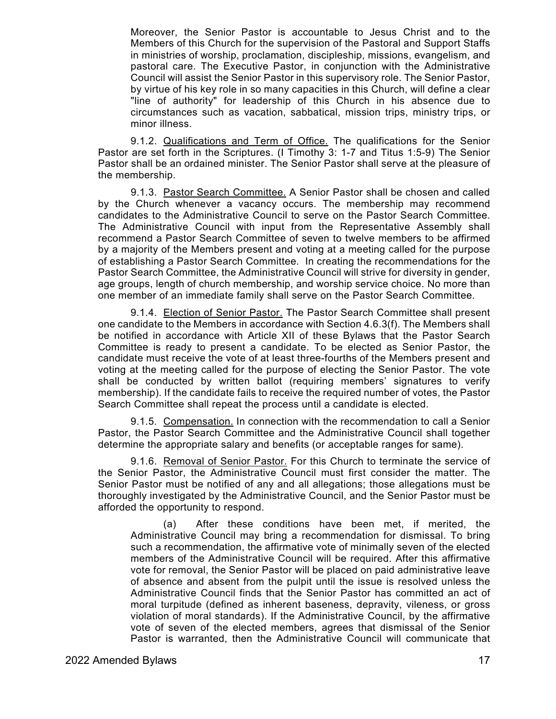Moreover, the Senior Pastor is accountable to Jesus Christ and to the Members of this Church for the supervision of the Pastoral and Support Staffs in ministries of worship, proclamation, discipleship, missions, evangelism, and pastoral care. The Executive Pastor, in conjunction with the Administrative Council will assist the Senior Pastor in this supervisory role. The Senior Pastor, by virtue of his key role in so many capacities in this Church, will define a clear "line of authority" for leadership of this Church in his absence due to circumstances such as vacation, sabbatical, mission trips, ministry trips, or minor illness.

9.1.2. Qualifications and Term of Office. The qualifications for the Senior Pastor are set forth in the Scriptures. (I Timothy 3: 1-7 and Titus 1:5-9) The Senior Pastor shall be an ordained minister. The Senior Pastor shall serve at the pleasure of the membership.

9.1.3. Pastor Search Committee. A Senior Pastor shall be chosen and called by the Church whenever a vacancy occurs. The membership may recommend candidates to the Administrative Council to serve on the Pastor Search Committee. The Administrative Council with input from the Representative Assembly shall recommend a Pastor Search Committee of seven to twelve members to be affirmed by a majority of the Members present and voting at a meeting called for the purpose of establishing a Pastor Search Committee. In creating the recommendations for the Pastor Search Committee, the Administrative Council will strive for diversity in gender, age groups, length of church membership, and worship service choice. No more than one member of an immediate family shall serve on the Pastor Search Committee.

9.1.4. Election of Senior Pastor. The Pastor Search Committee shall present one candidate to the Members in accordance with Section 4.6.3(f). The Members shall be notified in accordance with Article XII of these Bylaws that the Pastor Search Committee is ready to present a candidate. To be elected as Senior Pastor, the candidate must receive the vote of at least three-fourths of the Members present and voting at the meeting called for the purpose of electing the Senior Pastor. The vote shall be conducted by written ballot (requiring members' signatures to verify membership). If the candidate fails to receive the required number of votes, the Pastor Search Committee shall repeat the process until a candidate is elected.

9.1.5. Compensation. In connection with the recommendation to call a Senior Pastor, the Pastor Search Committee and the Administrative Council shall together determine the appropriate salary and benefits (or acceptable ranges for same).

9.1.6. Removal of Senior Pastor. For this Church to terminate the service of the Senior Pastor, the Administrative Council must first consider the matter. The Senior Pastor must be notified of any and all allegations; those allegations must be thoroughly investigated by the Administrative Council, and the Senior Pastor must be afforded the opportunity to respond.

(a) After these conditions have been met, if merited, the Administrative Council may bring a recommendation for dismissal. To bring such a recommendation, the affirmative vote of minimally seven of the elected members of the Administrative Council will be required. After this affirmative vote for removal, the Senior Pastor will be placed on paid administrative leave of absence and absent from the pulpit until the issue is resolved unless the Administrative Council finds that the Senior Pastor has committed an act of moral turpitude (defined as inherent baseness, depravity, vileness, or gross violation of moral standards). If the Administrative Council, by the affirmative vote of seven of the elected members, agrees that dismissal of the Senior Pastor is warranted, then the Administrative Council will communicate that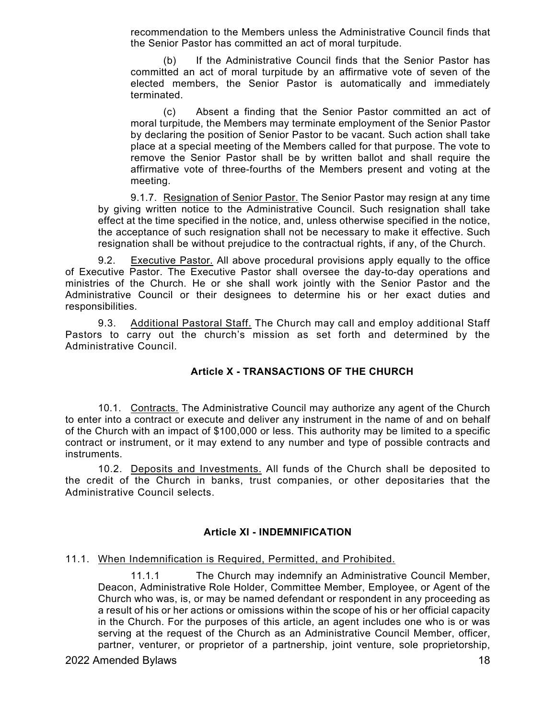recommendation to the Members unless the Administrative Council finds that the Senior Pastor has committed an act of moral turpitude.

(b) If the Administrative Council finds that the Senior Pastor has committed an act of moral turpitude by an affirmative vote of seven of the elected members, the Senior Pastor is automatically and immediately terminated.

(c) Absent a finding that the Senior Pastor committed an act of moral turpitude, the Members may terminate employment of the Senior Pastor by declaring the position of Senior Pastor to be vacant. Such action shall take place at a special meeting of the Members called for that purpose. The vote to remove the Senior Pastor shall be by written ballot and shall require the affirmative vote of three-fourths of the Members present and voting at the meeting.

9.1.7. Resignation of Senior Pastor. The Senior Pastor may resign at any time by giving written notice to the Administrative Council. Such resignation shall take effect at the time specified in the notice, and, unless otherwise specified in the notice, the acceptance of such resignation shall not be necessary to make it effective. Such resignation shall be without prejudice to the contractual rights, if any, of the Church.

9.2. Executive Pastor. All above procedural provisions apply equally to the office of Executive Pastor. The Executive Pastor shall oversee the day-to-day operations and ministries of the Church. He or she shall work jointly with the Senior Pastor and the Administrative Council or their designees to determine his or her exact duties and responsibilities.

9.3. Additional Pastoral Staff. The Church may call and employ additional Staff Pastors to carry out the church's mission as set forth and determined by the Administrative Council.

# **Article X - TRANSACTIONS OF THE CHURCH**

10.1. Contracts. The Administrative Council may authorize any agent of the Church to enter into a contract or execute and deliver any instrument in the name of and on behalf of the Church with an impact of \$100,000 or less. This authority may be limited to a specific contract or instrument, or it may extend to any number and type of possible contracts and instruments.

10.2. Deposits and Investments. All funds of the Church shall be deposited to the credit of the Church in banks, trust companies, or other depositaries that the Administrative Council selects.

# **Article XI - INDEMNIFICATION**

# 11.1. When Indemnification is Required, Permitted, and Prohibited.

11.1.1 The Church may indemnify an Administrative Council Member, Deacon, Administrative Role Holder, Committee Member, Employee, or Agent of the Church who was, is, or may be named defendant or respondent in any proceeding as a result of his or her actions or omissions within the scope of his or her official capacity in the Church. For the purposes of this article, an agent includes one who is or was serving at the request of the Church as an Administrative Council Member, officer, partner, venturer, or proprietor of a partnership, joint venture, sole proprietorship,

# 2022 Amended Bylaws 18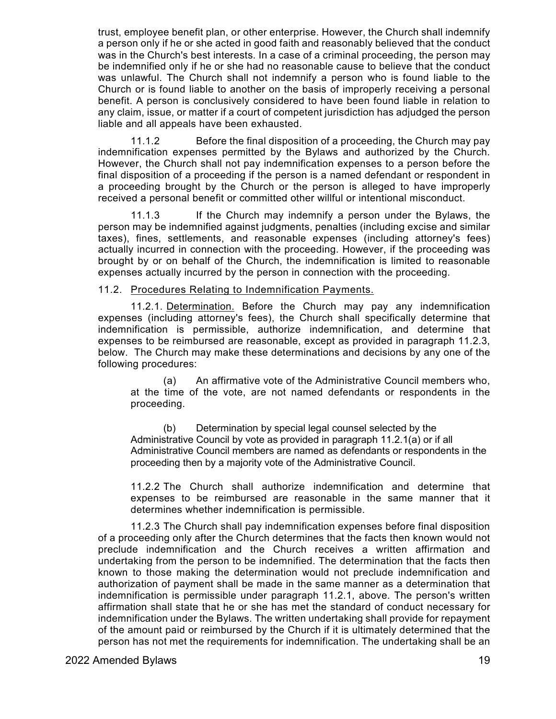trust, employee benefit plan, or other enterprise. However, the Church shall indemnify a person only if he or she acted in good faith and reasonably believed that the conduct was in the Church's best interests. In a case of a criminal proceeding, the person may be indemnified only if he or she had no reasonable cause to believe that the conduct was unlawful. The Church shall not indemnify a person who is found liable to the Church or is found liable to another on the basis of improperly receiving a personal benefit. A person is conclusively considered to have been found liable in relation to any claim, issue, or matter if a court of competent jurisdiction has adjudged the person liable and all appeals have been exhausted.

11.1.2 Before the final disposition of a proceeding, the Church may pay indemnification expenses permitted by the Bylaws and authorized by the Church. However, the Church shall not pay indemnification expenses to a person before the final disposition of a proceeding if the person is a named defendant or respondent in a proceeding brought by the Church or the person is alleged to have improperly received a personal benefit or committed other willful or intentional misconduct.

11.1.3 If the Church may indemnify a person under the Bylaws, the person may be indemnified against judgments, penalties (including excise and similar taxes), fines, settlements, and reasonable expenses (including attorney's fees) actually incurred in connection with the proceeding. However, if the proceeding was brought by or on behalf of the Church, the indemnification is limited to reasonable expenses actually incurred by the person in connection with the proceeding.

#### 11.2. Procedures Relating to Indemnification Payments.

11.2.1. Determination. Before the Church may pay any indemnification expenses (including attorney's fees), the Church shall specifically determine that indemnification is permissible, authorize indemnification, and determine that expenses to be reimbursed are reasonable, except as provided in paragraph 11.2.3, below. The Church may make these determinations and decisions by any one of the following procedures:

(a) An affirmative vote of the Administrative Council members who, at the time of the vote, are not named defendants or respondents in the proceeding.

(b) Determination by special legal counsel selected by the Administrative Council by vote as provided in paragraph 11.2.1(a) or if all Administrative Council members are named as defendants or respondents in the proceeding then by a majority vote of the Administrative Council.

11.2.2 The Church shall authorize indemnification and determine that expenses to be reimbursed are reasonable in the same manner that it determines whether indemnification is permissible.

11.2.3 The Church shall pay indemnification expenses before final disposition of a proceeding only after the Church determines that the facts then known would not preclude indemnification and the Church receives a written affirmation and undertaking from the person to be indemnified. The determination that the facts then known to those making the determination would not preclude indemnification and authorization of payment shall be made in the same manner as a determination that indemnification is permissible under paragraph 11.2.1, above. The person's written affirmation shall state that he or she has met the standard of conduct necessary for indemnification under the Bylaws. The written undertaking shall provide for repayment of the amount paid or reimbursed by the Church if it is ultimately determined that the person has not met the requirements for indemnification. The undertaking shall be an

2022 Amended Bylaws 19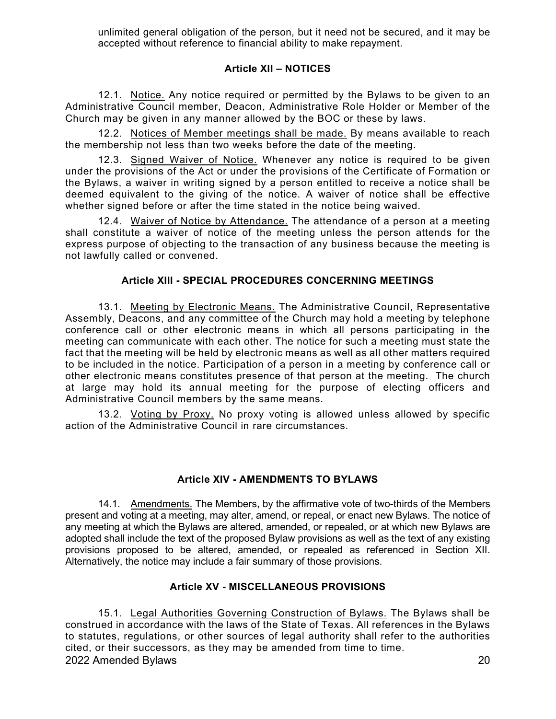unlimited general obligation of the person, but it need not be secured, and it may be accepted without reference to financial ability to make repayment.

# **Article XII – NOTICES**

12.1. Notice. Any notice required or permitted by the Bylaws to be given to an Administrative Council member, Deacon, Administrative Role Holder or Member of the Church may be given in any manner allowed by the BOC or these by laws.

12.2. Notices of Member meetings shall be made. By means available to reach the membership not less than two weeks before the date of the meeting.

12.3. Signed Waiver of Notice. Whenever any notice is required to be given under the provisions of the Act or under the provisions of the Certificate of Formation or the Bylaws, a waiver in writing signed by a person entitled to receive a notice shall be deemed equivalent to the giving of the notice. A waiver of notice shall be effective whether signed before or after the time stated in the notice being waived.

12.4. Waiver of Notice by Attendance. The attendance of a person at a meeting shall constitute a waiver of notice of the meeting unless the person attends for the express purpose of objecting to the transaction of any business because the meeting is not lawfully called or convened.

# **Article XIII - SPECIAL PROCEDURES CONCERNING MEETINGS**

13.1. Meeting by Electronic Means. The Administrative Council, Representative Assembly, Deacons, and any committee of the Church may hold a meeting by telephone conference call or other electronic means in which all persons participating in the meeting can communicate with each other. The notice for such a meeting must state the fact that the meeting will be held by electronic means as well as all other matters required to be included in the notice. Participation of a person in a meeting by conference call or other electronic means constitutes presence of that person at the meeting. The church at large may hold its annual meeting for the purpose of electing officers and Administrative Council members by the same means.

13.2. Voting by Proxy. No proxy voting is allowed unless allowed by specific action of the Administrative Council in rare circumstances.

# **Article XIV - AMENDMENTS TO BYLAWS**

14.1. Amendments. The Members, by the affirmative vote of two-thirds of the Members present and voting at a meeting, may alter, amend, or repeal, or enact new Bylaws. The notice of any meeting at which the Bylaws are altered, amended, or repealed, or at which new Bylaws are adopted shall include the text of the proposed Bylaw provisions as well as the text of any existing provisions proposed to be altered, amended, or repealed as referenced in Section XII. Alternatively, the notice may include a fair summary of those provisions.

# **Article XV - MISCELLANEOUS PROVISIONS**

2022 Amended Bylaws 20 15.1. Legal Authorities Governing Construction of Bylaws. The Bylaws shall be construed in accordance with the laws of the State of Texas. All references in the Bylaws to statutes, regulations, or other sources of legal authority shall refer to the authorities cited, or their successors, as they may be amended from time to time.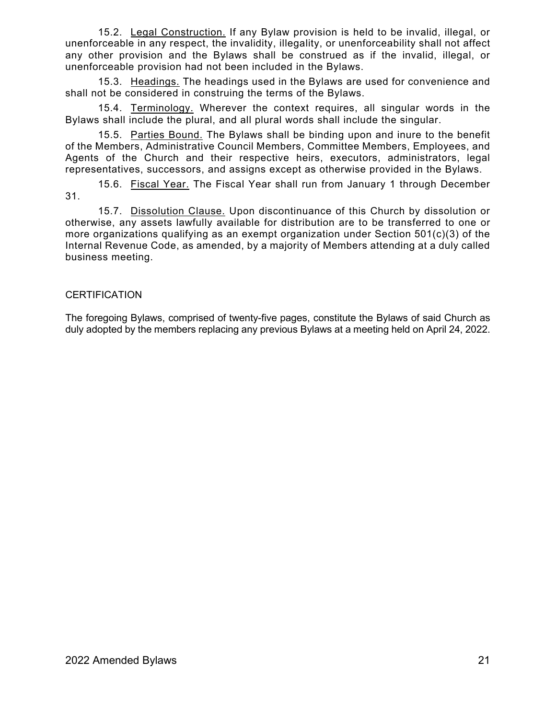15.2. Legal Construction. If any Bylaw provision is held to be invalid, illegal, or unenforceable in any respect, the invalidity, illegality, or unenforceability shall not affect any other provision and the Bylaws shall be construed as if the invalid, illegal, or unenforceable provision had not been included in the Bylaws.

15.3. Headings. The headings used in the Bylaws are used for convenience and shall not be considered in construing the terms of the Bylaws.

15.4. Terminology. Wherever the context requires, all singular words in the Bylaws shall include the plural, and all plural words shall include the singular.

15.5. Parties Bound. The Bylaws shall be binding upon and inure to the benefit of the Members, Administrative Council Members, Committee Members, Employees, and Agents of the Church and their respective heirs, executors, administrators, legal representatives, successors, and assigns except as otherwise provided in the Bylaws.

15.6. Fiscal Year. The Fiscal Year shall run from January 1 through December 31.

15.7. Dissolution Clause. Upon discontinuance of this Church by dissolution or otherwise, any assets lawfully available for distribution are to be transferred to one or more organizations qualifying as an exempt organization under Section 501(c)(3) of the Internal Revenue Code, as amended, by a majority of Members attending at a duly called business meeting.

# **CERTIFICATION**

The foregoing Bylaws, comprised of twenty-five pages, constitute the Bylaws of said Church as duly adopted by the members replacing any previous Bylaws at a meeting held on April 24, 2022.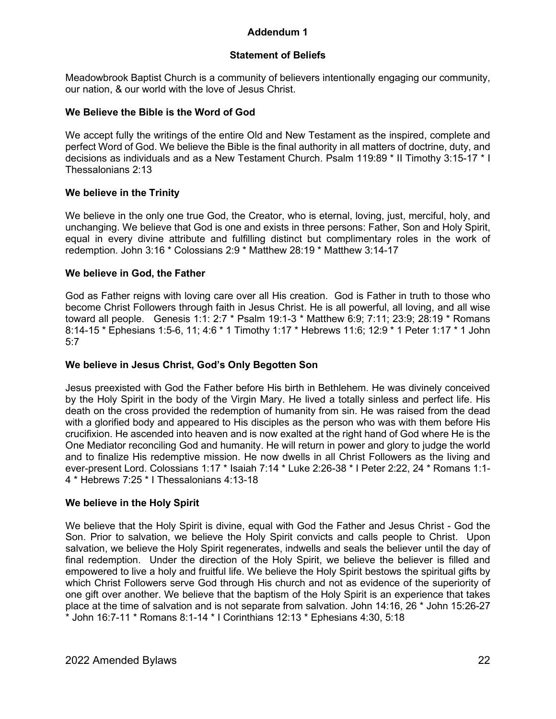# **Addendum 1**

# **Statement of Beliefs**

Meadowbrook Baptist Church is a community of believers intentionally engaging our community, our nation, & our world with the love of Jesus Christ.

### **We Believe the Bible is the Word of God**

We accept fully the writings of the entire Old and New Testament as the inspired, complete and perfect Word of God. We believe the Bible is the final authority in all matters of doctrine, duty, and decisions as individuals and as a New Testament Church. Psalm 119:89 \* II Timothy 3:15-17 \* I Thessalonians 2:13

# **We believe in the Trinity**

We believe in the only one true God, the Creator, who is eternal, loving, just, merciful, holy, and unchanging. We believe that God is one and exists in three persons: Father, Son and Holy Spirit, equal in every divine attribute and fulfilling distinct but complimentary roles in the work of redemption. John 3:16 \* Colossians 2:9 \* Matthew 28:19 \* Matthew 3:14-17

### **We believe in God, the Father**

God as Father reigns with loving care over all His creation. God is Father in truth to those who become Christ Followers through faith in Jesus Christ. He is all powerful, all loving, and all wise toward all people. Genesis 1:1: 2:7 \* Psalm 19:1-3 \* Matthew 6:9; 7:11; 23:9; 28:19 \* Romans 8:14-15 \* Ephesians 1:5-6, 11; 4:6 \* 1 Timothy 1:17 \* Hebrews 11:6; 12:9 \* 1 Peter 1:17 \* 1 John 5:7

### **We believe in Jesus Christ, God's Only Begotten Son**

Jesus preexisted with God the Father before His birth in Bethlehem. He was divinely conceived by the Holy Spirit in the body of the Virgin Mary. He lived a totally sinless and perfect life. His death on the cross provided the redemption of humanity from sin. He was raised from the dead with a glorified body and appeared to His disciples as the person who was with them before His crucifixion. He ascended into heaven and is now exalted at the right hand of God where He is the One Mediator reconciling God and humanity. He will return in power and glory to judge the world and to finalize His redemptive mission. He now dwells in all Christ Followers as the living and ever-present Lord. Colossians 1:17 \* Isaiah 7:14 \* Luke 2:26-38 \* I Peter 2:22, 24 \* Romans 1:1- 4 \* Hebrews 7:25 \* I Thessalonians 4:13-18

#### **We believe in the Holy Spirit**

We believe that the Holy Spirit is divine, equal with God the Father and Jesus Christ - God the Son. Prior to salvation, we believe the Holy Spirit convicts and calls people to Christ. Upon salvation, we believe the Holy Spirit regenerates, indwells and seals the believer until the day of final redemption. Under the direction of the Holy Spirit, we believe the believer is filled and empowered to live a holy and fruitful life. We believe the Holy Spirit bestows the spiritual gifts by which Christ Followers serve God through His church and not as evidence of the superiority of one gift over another. We believe that the baptism of the Holy Spirit is an experience that takes place at the time of salvation and is not separate from salvation. John 14:16, 26 \* John 15:26-27 \* John 16:7-11 \* Romans 8:1-14 \* I Corinthians 12:13 \* Ephesians 4:30, 5:18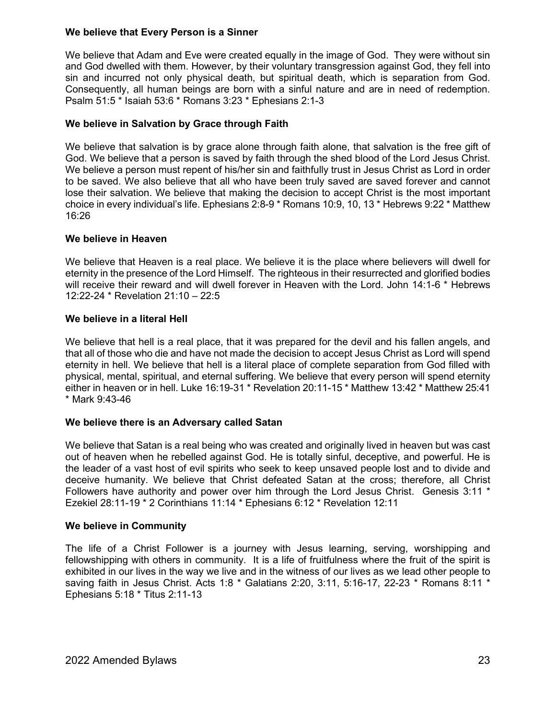## **We believe that Every Person is a Sinner**

We believe that Adam and Eve were created equally in the image of God. They were without sin and God dwelled with them. However, by their voluntary transgression against God, they fell into sin and incurred not only physical death, but spiritual death, which is separation from God. Consequently, all human beings are born with a sinful nature and are in need of redemption. Psalm 51:5 \* Isaiah 53:6 \* Romans 3:23 \* Ephesians 2:1-3

# **We believe in Salvation by Grace through Faith**

We believe that salvation is by grace alone through faith alone, that salvation is the free gift of God. We believe that a person is saved by faith through the shed blood of the Lord Jesus Christ. We believe a person must repent of his/her sin and faithfully trust in Jesus Christ as Lord in order to be saved. We also believe that all who have been truly saved are saved forever and cannot lose their salvation. We believe that making the decision to accept Christ is the most important choice in every individual's life. Ephesians 2:8-9 \* Romans 10:9, 10, 13 \* Hebrews 9:22 \* Matthew 16:26

### **We believe in Heaven**

We believe that Heaven is a real place. We believe it is the place where believers will dwell for eternity in the presence of the Lord Himself. The righteous in their resurrected and glorified bodies will receive their reward and will dwell forever in Heaven with the Lord. John 14:1-6 \* Hebrews 12:22-24 \* Revelation 21:10 – 22:5

### **We believe in a literal Hell**

We believe that hell is a real place, that it was prepared for the devil and his fallen angels, and that all of those who die and have not made the decision to accept Jesus Christ as Lord will spend eternity in hell. We believe that hell is a literal place of complete separation from God filled with physical, mental, spiritual, and eternal suffering. We believe that every person will spend eternity either in heaven or in hell. Luke 16:19-31 \* Revelation 20:11-15 \* Matthew 13:42 \* Matthew 25:41 \* Mark 9:43-46

#### **We believe there is an Adversary called Satan**

We believe that Satan is a real being who was created and originally lived in heaven but was cast out of heaven when he rebelled against God. He is totally sinful, deceptive, and powerful. He is the leader of a vast host of evil spirits who seek to keep unsaved people lost and to divide and deceive humanity. We believe that Christ defeated Satan at the cross; therefore, all Christ Followers have authority and power over him through the Lord Jesus Christ. Genesis 3:11 \* Ezekiel 28:11-19 \* 2 Corinthians 11:14 \* Ephesians 6:12 \* Revelation 12:11

#### **We believe in Community**

The life of a Christ Follower is a journey with Jesus learning, serving, worshipping and fellowshipping with others in community. It is a life of fruitfulness where the fruit of the spirit is exhibited in our lives in the way we live and in the witness of our lives as we lead other people to saving faith in Jesus Christ. Acts 1:8 \* Galatians 2:20, 3:11, 5:16-17, 22-23 \* Romans 8:11 \* Ephesians 5:18 \* Titus 2:11-13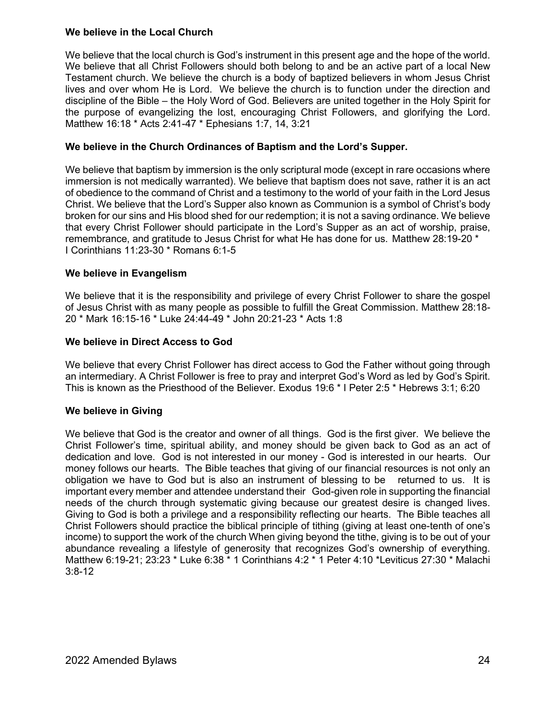# **We believe in the Local Church**

We believe that the local church is God's instrument in this present age and the hope of the world. We believe that all Christ Followers should both belong to and be an active part of a local New Testament church. We believe the church is a body of baptized believers in whom Jesus Christ lives and over whom He is Lord. We believe the church is to function under the direction and discipline of the Bible – the Holy Word of God. Believers are united together in the Holy Spirit for the purpose of evangelizing the lost, encouraging Christ Followers, and glorifying the Lord. Matthew 16:18 \* Acts 2:41-47 \* Ephesians 1:7, 14, 3:21

# **We believe in the Church Ordinances of Baptism and the Lord's Supper.**

We believe that baptism by immersion is the only scriptural mode (except in rare occasions where immersion is not medically warranted). We believe that baptism does not save, rather it is an act of obedience to the command of Christ and a testimony to the world of your faith in the Lord Jesus Christ. We believe that the Lord's Supper also known as Communion is a symbol of Christ's body broken for our sins and His blood shed for our redemption; it is not a saving ordinance. We believe that every Christ Follower should participate in the Lord's Supper as an act of worship, praise, remembrance, and gratitude to Jesus Christ for what He has done for us. Matthew 28:19-20 \* I Corinthians 11:23-30 \* Romans 6:1-5

### **We believe in Evangelism**

We believe that it is the responsibility and privilege of every Christ Follower to share the gospel of Jesus Christ with as many people as possible to fulfill the Great Commission. Matthew 28:18- 20 \* Mark 16:15-16 \* Luke 24:44-49 \* John 20:21-23 \* Acts 1:8

### **We believe in Direct Access to God**

We believe that every Christ Follower has direct access to God the Father without going through an intermediary. A Christ Follower is free to pray and interpret God's Word as led by God's Spirit. This is known as the Priesthood of the Believer. Exodus 19:6 \* I Peter 2:5 \* Hebrews 3:1; 6:20

# **We believe in Giving**

We believe that God is the creator and owner of all things. God is the first giver. We believe the Christ Follower's time, spiritual ability, and money should be given back to God as an act of dedication and love. God is not interested in our money - God is interested in our hearts. Our money follows our hearts. The Bible teaches that giving of our financial resources is not only an obligation we have to God but is also an instrument of blessing to be returned to us. It is important every member and attendee understand their God-given role in supporting the financial needs of the church through systematic giving because our greatest desire is changed lives. Giving to God is both a privilege and a responsibility reflecting our hearts. The Bible teaches all Christ Followers should practice the biblical principle of tithing (giving at least one-tenth of one's income) to support the work of the church When giving beyond the tithe, giving is to be out of your abundance revealing a lifestyle of generosity that recognizes God's ownership of everything. Matthew 6:19-21; 23:23 \* Luke 6:38 \* 1 Corinthians 4:2 \* 1 Peter 4:10 \*Leviticus 27:30 \* Malachi 3:8-12